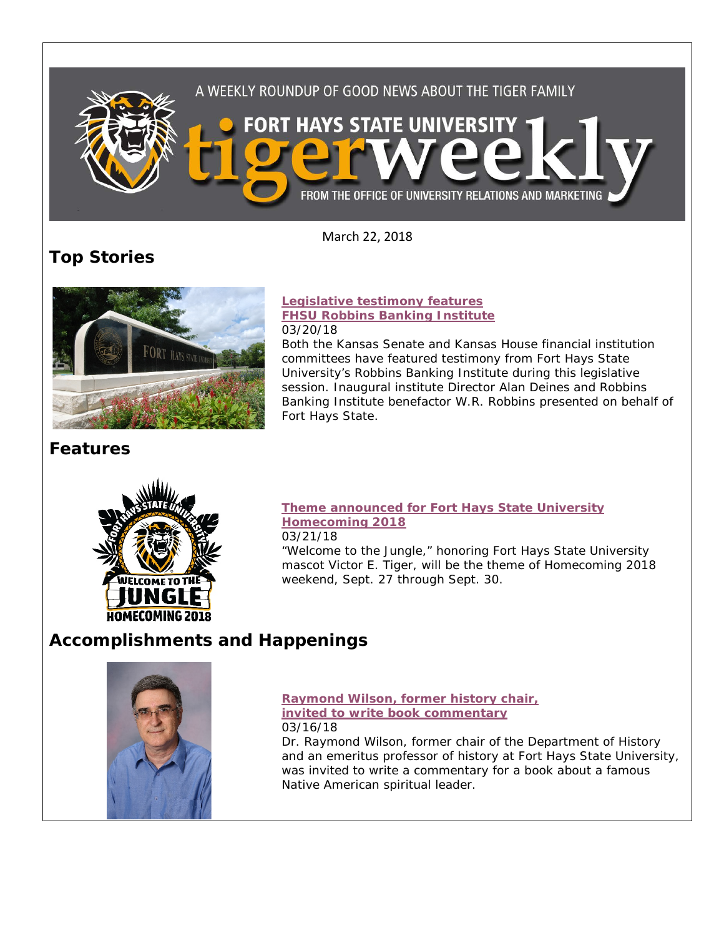

March 22, 2018

# **Top Stories**



**Features**



#### **[Legislative testimony features](https://www.fhsu.edu/news/2018/03/legislative-testimony-features-fhsu-robbins-banking-institute.html)  [FHSU Robbins Banking Institute](https://www.fhsu.edu/news/2018/03/legislative-testimony-features-fhsu-robbins-banking-institute.html)** 03/20/18

Both the Kansas Senate and Kansas House financial institution committees have featured testimony from Fort Hays State University's Robbins Banking Institute during this legislative session. Inaugural institute Director Alan Deines and Robbins Banking Institute benefactor W.R. Robbins presented on behalf of Fort Hays State.

## **[Theme announced for Fort Hays State University](https://www.fhsu.edu/news/2018/03/theme-announced-for-fort-hays-state-university-homecoming-2018.html)  [Homecoming 2018](https://www.fhsu.edu/news/2018/03/theme-announced-for-fort-hays-state-university-homecoming-2018.html)**

03/21/18

"Welcome to the Jungle," honoring Fort Hays State University mascot Victor E. Tiger, will be the theme of Homecoming 2018 weekend, Sept. 27 through Sept. 30.

# **Accomplishments and Happenings**



**[Raymond Wilson, former history chair,](https://www.fhsu.edu/news/2018/03/raymond-wilson,-former-history-chair,-invited-to-write-book-commentary.html)  [invited to write book commentary](https://www.fhsu.edu/news/2018/03/raymond-wilson,-former-history-chair,-invited-to-write-book-commentary.html)** 03/16/18

Dr. Raymond Wilson, former chair of the Department of History and an emeritus professor of history at Fort Hays State University, was invited to write a commentary for a book about a famous Native American spiritual leader.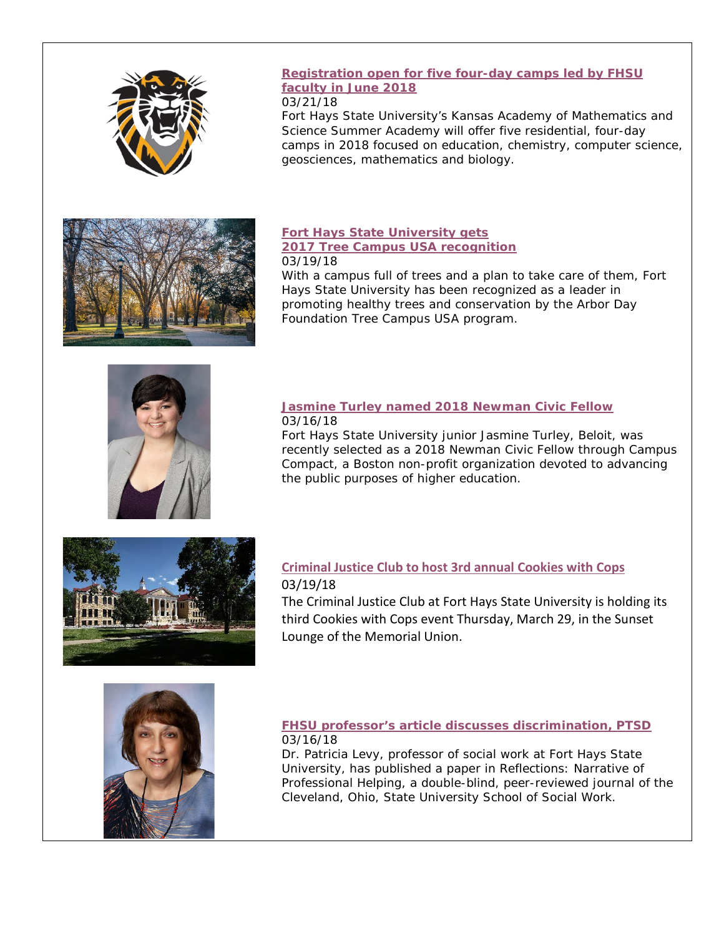

## **[Registration open for five four-day camps led by FHSU](https://www.fhsu.edu/news/2018/03/registration-open-for-five-four-day-camps-led-by-fhsu-faculty-in-june-2018.html)  [faculty in June](https://www.fhsu.edu/news/2018/03/registration-open-for-five-four-day-camps-led-by-fhsu-faculty-in-june-2018.html) 2018**

### 03/21/18

Fort Hays State University's Kansas Academy of Mathematics and Science Summer Academy will offer five residential, four-day camps in 2018 focused on education, chemistry, computer science, geosciences, mathematics and biology.



#### **[Fort Hays State University gets](https://www.fhsu.edu/news/2018/03/fort-hays-state-university-gets-2017-tree-campus-usa-recognition.html)  [2017 Tree Campus USA recognition](https://www.fhsu.edu/news/2018/03/fort-hays-state-university-gets-2017-tree-campus-usa-recognition.html)** 03/19/18

With a campus full of trees and a plan to take care of them, Fort Hays State University has been recognized as a leader in promoting healthy trees and conservation by the Arbor Day Foundation Tree Campus USA program.



### **[Jasmine Turley named 2018 Newman Civic Fellow](https://www.fhsu.edu/news/2018/03/jasmine-turley-named-2018-newman-civic-fellow.html)** 03/16/18

Fort Hays State University junior Jasmine Turley, Beloit, was recently selected as a 2018 Newman Civic Fellow through Campus Compact, a Boston non-profit organization devoted to advancing the public purposes of higher education.



## **[Criminal Justice Club to host 3rd annual Cookies with Cops](https://www.fhsu.edu/news/2018/03/criminal-justice-club-to-host-3rd-annual-cookies-with-cops.html)** 03/19/18

The Criminal Justice Club at Fort Hays State University is holding its third Cookies with Cops event Thursday, March 29, in the Sunset Lounge of the Memorial Union.



### **[FHSU professor's article discusses discrimination, PTSD](https://www.fhsu.edu/news/2018/03/fhsu-professors-article-discusses-discrimination,-ptsd.html)** 03/16/18

Dr. Patricia Levy, professor of social work at Fort Hays State University, has published a paper in Reflections: Narrative of Professional Helping, a double-blind, peer-reviewed journal of the Cleveland, Ohio, State University School of Social Work.